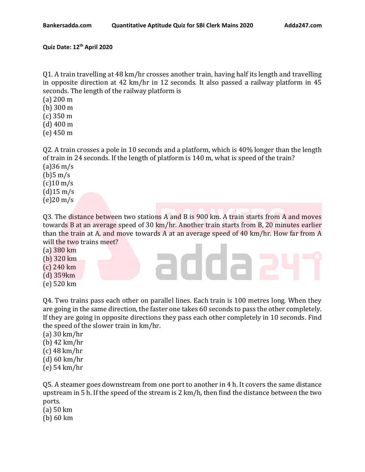## **Quiz Date: 12th April 2020**

Q1. A train travelling at 48 km/hr crosses another train, having half its length and travelling in opposite direction at 42 km/hr in 12 seconds. It also passed a railway platform in 45 seconds. The length of the railway platform is

- (a) 200 m
- (b) 300 m
- (c) 350 m
- (d) 400 m
- (e) 450 m

Q2. A train crosses a pole in 10 seconds and a platform, which is 40% longer than the length of train in 24 seconds. If the length of platform is 140 m, what is speed of the train?  $(a)36 \text{ m/s}$ 

 $(b)5 \text{ m/s}$  $(c)$ 10 m/s  $(d)$ 15 m/s (e)20 m/s

Q3. The distance between two stations A and B is 900 km. A train starts from A and moves towards B at an average speed of 30 km/hr. Another train starts from B, 20 minutes earlier than the train at A, and move towards A at an average speed of 40 km/hr. How far from A will the two trains meet?

addaa

- (a) 380 km
- (b) 320 km (c) 240 km
- (d) 359km
- (e) 520 km

Q4. Two trains pass each other on parallel lines. Each train is 100 metres long. When they are going in the same direction, the faster one takes 60 seconds to pass the other completely. If they are going in opposite directions they pass each other completely in 10 seconds. Find the speed of the slower train in km/hr.

- (a) 30 km/hr (b) 42 km/hr (c) 48 km/hr
- (d) 60 km/hr
- (e) 54 km/hr

Q5. A steamer goes downstream from one port to another in 4 h. It covers the same distance upstream in 5 h. If the speed of the stream is 2 km/h, then find the distance between the two ports.

- (a) 50 km
- (b) 60 km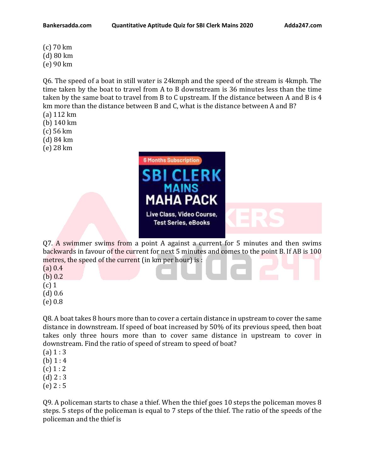(c) 70 km (d) 80 km (e) 90 km

Q6. The speed of a boat in still water is 24kmph and the speed of the stream is 4kmph. The time taken by the boat to travel from A to B downstream is 36 minutes less than the time taken by the same boat to travel from B to C upstream. If the distance between A and B is 4 km more than the distance between B and C, what is the distance between A and B? (a) 112 km

- (b) 140 km
- (c) 56 km
- 
- (d) 84 km (e) 28 km
- 



Q7. A swimmer swims from a point A against a current for 5 minutes and then swims backwards in favour of the current for next 5 minutes and comes to the point B. If AB is 100 metres, the speed of the current (in km per hour) is :

- (a) 0.4
- (b) 0.2
- (c) 1
- (d) 0.6
- (e) 0.8

Q8. A boat takes 8 hours more than to cover a certain distance in upstream to cover the same distance in downstream. If speed of boat increased by 50% of its previous speed, then boat takes only three hours more than to cover same distance in upstream to cover in downstream. Find the ratio of speed of stream to speed of boat?

- $(a) 1 : 3$
- (b)  $1:4$
- $(c) 1 : 2$
- $(d)$  2 : 3
- (e) 2 : 5

Q9. A policeman starts to chase a thief. When the thief goes 10 steps the policeman moves 8 steps. 5 steps of the policeman is equal to 7 steps of the thief. The ratio of the speeds of the policeman and the thief is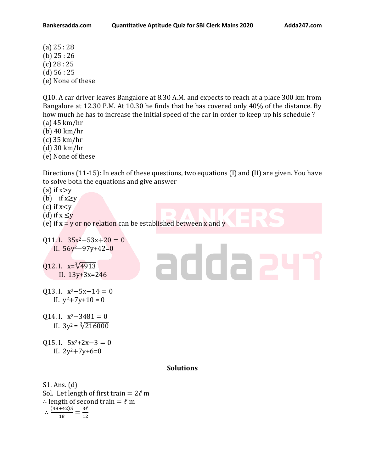(a) 25 : 28 (b) 25 : 26 (c) 28 : 25  $(d)$  56 : 25 (e) None of these

Q10. A car driver leaves Bangalore at 8.30 A.M. and expects to reach at a place 300 km from Bangalore at 12.30 P.M. At 10.30 he finds that he has covered only 40% of the distance. By how much he has to increase the initial speed of the car in order to keep up his schedule ?

- (a) 45 km/hr
- (b) 40 km/hr
- (c) 35 km/hr (d) 30 km/hr
- (e) None of these

Directions (11-15): In each of these questions, two equations (I) and (II) are given. You have to solve both the equations and give answer

adda a

- (a) if  $x \geq y$
- (b) if  $x \geq y$
- (c) if  $x < y$
- (d) if  $x \leq y$
- (e) if  $x = y$  or no relation can be established between  $x$  and  $y$
- Q11. I.  $35x^2 53x + 20 = 0$ II. 56y2−97y+42=0
- Q12. I.  $x=\sqrt[3]{4913}$ II. 13y+3x=246
- Q13. I.  $x^2-5x-14=0$ II.  $y^2 + 7y + 10 = 0$
- Q14. I.  $x^2-3481=0$ II.  $3y^2 = \sqrt[3]{216000}$
- Q15. I.  $5x^2+2x-3=0$ II.  $2y^2 + 7y + 6 = 0$

## **Solutions**

S1. Ans. (d) Sol. Let length of first train =  $2\ell$  m  $\therefore$  length of second train =  $\ell$  m  $\therefore \frac{(48+42)5}{12}$  $\frac{+42}{18} = \frac{3\ell}{12}$ 12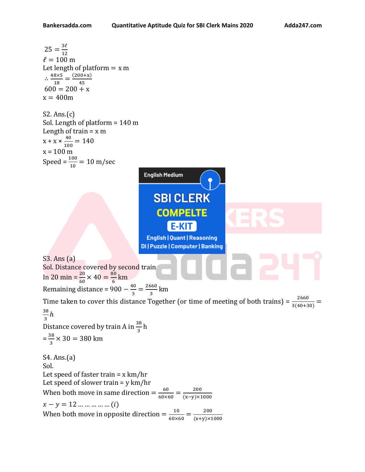25 = 
$$
\frac{37}{12}
$$
  
\n $\ell = 100 \text{ m}$   
\n $\therefore \frac{485.5}{18} = \frac{(200+x)}{45}$   
\n $600 = 200 + x$   
\n $x = 400 \text{ m}$   
\n52. Ans.(c)  
\nSol. Length of platform = 140 m  
\nLength of train = x m  
\n $x + x + \frac{40}{100} = 140$   
\n $x = 100 \text{ m}$   
\n $x = 100 \text{ m}$   
\n $x = 100 \text{ m}$   
\n $x = 100 \text{ m}$   
\n $x = 100 \text{ m}$   
\n $\text{SBl CLERK}$   
\n**691. Distance covered by second train**  
\nIn 20 min =  $\frac{20}{60} \times 40 = \frac{100}{6} \text{ km}$   
\nIm  $20 \text{ min} = \frac{20}{60} \times 40 = \frac{10}{6} \text{ km}$   
\n $\text{Remaining distance} = 900 - \frac{40}{3} = \frac{2660}{3} \text{ km}$   
\n $\frac{38}{3} \text{ h}$   
\n $\frac{38}{3} \text{ h}$   
\nDistance covered by train A in  $\frac{38}{3} \text{ h}$   
\nDistance covered by train A in  $\frac{38}{3} \text{ h}$   
\n $\frac{38}{3} \times 30 = 380 \text{ km}$   
\n $\text{Sil. The second of shorter train} = x \text{ km/hr}$   
\nLet speed of faster train = x km/hr  
\nLet speed of slower train = y km/hr  
\n $x - y = 12 \text{ ... ... ... ...} (i)$   
\nWhen both move in opposite direction =  $\frac{60}{60 \times 60} = \frac{200}{(x-y) \times 1000}$   
\n $x - y = 12 \text{ ... ... ... ...} (i)$   
\nWhen both move in opposite direction =  $\frac{10}{60 \times 60} = \frac{200}{(x+y) \times 1000}$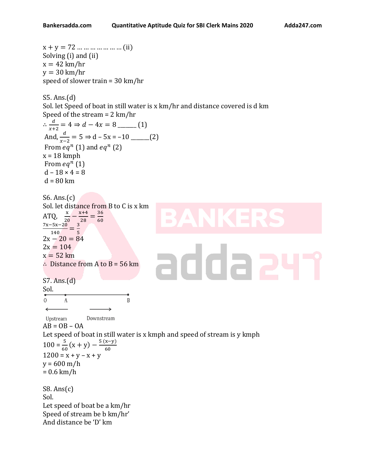```
x + y = 72 ... ... ... ... ... ... (ii)
Solving (i) and (ii)
x = 42 km/hr
y = 30 km/hr
speed of slower train = 30 km/hr 
S5. Ans.(d)
Sol. let Speed of boat in still water is x km/hr and distance covered is d km
Speed of the stream = 2 km/hr
\therefore \frac{d}{ }+2
= 4 ⇒  − 4 = 8 _______ (1)
And, \frac{d}{x-2} = 5 \Rightarrow d - 5x = -10 ______(2)
From eq^n(1) and eq^n(2)x = 18 kmph
From eq^n(1)d - 18 \times 4 = 8d = 80 km
S6. Ans.(c)
Sol. let distance from B to C is x km
           -\frac{x+4}{28}36
ATQ,
                 =
        20
              28
                    60
7x−5x−20
   \frac{-5x-20}{140} = \frac{3}{5}5
2x - 20 = 842x = 104addaa
x = 52 km
∴ Distance from A to B = 56 km
S7. Ans.(d)
Sol. 
\overline{O}\mathbf{A}\overline{B}\leftarrowUpstream
                Downstream
AB = OB - OALet speed of boat in still water is x kmph and speed of stream is y kmph
100 = \frac{5}{60}(x+y) - \frac{5(x-y)}{60}60
1200 = x + y - x + yy = 600 m/h
= 0.6 km/h
S8. Ans(c)
Sol.
Let speed of boat be a km/hr
Speed of stream be b km/hr'
And distance be 'D' km
```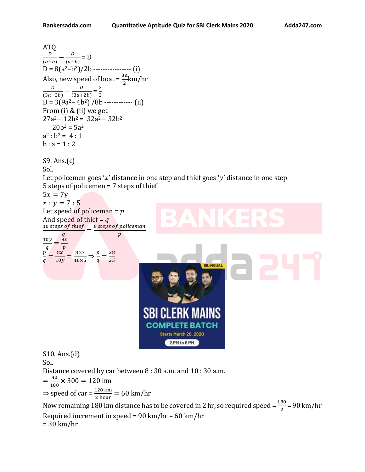```
ATQ 
\frac{D}{(a-b)} - \frac{D}{(a+b)}D
           \frac{b}{(a+b)} = 8D = 8(a^2-b^2)/2b ----------------- (i)
Also, new speed of boat = \frac{3a}{2}km/hr
    \boldsymbol{D}-\frac{D}{\sqrt{2}}3
                        = 
(3a-2b) (3a+2b)2
D = 3(9a^2 - 4b^2) / 8b ------------ (ii)
From (i) & (ii) we get 
27a2− 12b2 = 32a2− 32b2
    20b^2 = 5a^2a^2 : b^2 = 4 : 1b : a = 1 : 2S9. Ans.(c)
Sol.
Let policemen goes 'x' distance in one step and thief goes 'y' distance in one step
5 steps of policemen = 7 steps of thief 
5x = 7yx : y = 7 : 5Let speed of policeman = pAnd speed of thief = q\frac{10 \text{ steps of their}}{10 \text{ steps of the}} = \frac{8 \text{ steps of the pole}}{10 \text{ years of the pole}}\overline{q}\overline{p}10y8x=
 \boldsymbol{q}\overline{p}\overline{p}\frac{8x}{10y} = \frac{8 \times 7}{10 \times 5}8x\frac{8\times7}{10\times5} \Rightarrow \frac{p}{q}\frac{p}{q} = \frac{28}{25}=
\overline{q}25
                                                                              BILINGUAL
                                                SBI CLERK N
                                                  COMPLETE BATCH
                                                         Starts March 20, 2020
                                                            2 PM to 6 PM
S10. Ans.(d)
Sol.
Distance covered by car between 8 : 30 a.m. and 10 : 30 a.m.
=\frac{40}{100}\frac{40}{100} × 300 = 120 km
⇒ speed of car = \frac{120 \text{ km}}{2 \text{ hour}} = 60 km/hr
Now remaining 180 km distance has to be covered in 2 hr, so required speed = \frac{180}{2} = 90 km/hr
Required increment in speed = 90 km/hr – 60 km/hr
= 30 km/hr
```